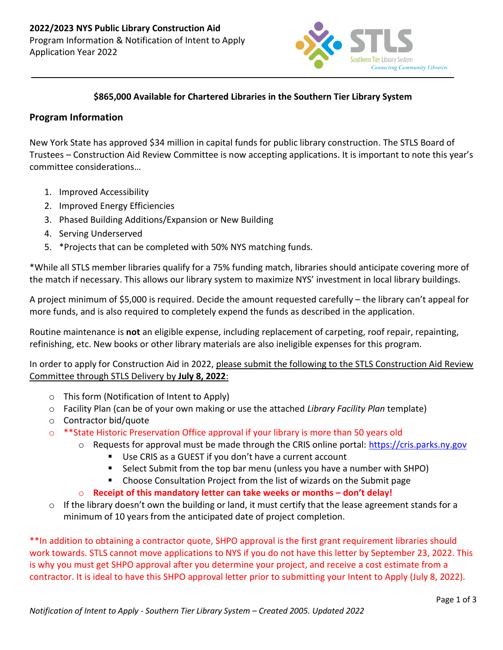

## **\$865,000 Available for Chartered Libraries in the Southern Tier Library System**

## **Program Information**

New York State has approved \$34 million in capital funds for public library construction. The STLS Board of Trustees – Construction Aid Review Committee is now accepting applications. It is important to note this year's committee considerations…

- 1. Improved Accessibility
- 2. Improved Energy Efficiencies
- 3. Phased Building Additions/Expansion or New Building
- 4. Serving Underserved
- 5. \*Projects that can be completed with 50% NYS matching funds.

\*While all STLS member libraries qualify for a 75% funding match, libraries should anticipate covering more of the match if necessary. This allows our library system to maximize NYS' investment in local library buildings.

A project minimum of \$5,000 is required. Decide the amount requested carefully – the library can't appeal for more funds, and is also required to completely expend the funds as described in the application.

Routine maintenance is **not** an eligible expense, including replacement of carpeting, roof repair, repainting, refinishing, etc. New books or other library materials are also ineligible expenses for this program.

In order to apply for Construction Aid in 2022, please submit the following to the STLS Construction Aid Review Committee through STLS Delivery by **July 8, 2022**:

- o This form (Notification of Intent to Apply)
- o Facility Plan (can be of your own making or use the attached *Library Facility Plan* template)
- o Contractor bid/quote
- $\circ$  \*\*State Historic Preservation Office approval if your library is more than 50 years old
	- $\circ$  Requests for approval must be made through the CRIS online portal: [https://cris.parks.ny.gov](https://cris.parks.ny.gov/)
		- Use CRIS as a GUEST if you don't have a current account
		- Select Submit from the top bar menu (unless you have a number with SHPO)
		- Choose Consultation Project from the list of wizards on the Submit page
	- o **Receipt of this mandatory letter can take weeks or months – don't delay!**
- $\circ$  If the library doesn't own the building or land, it must certify that the lease agreement stands for a minimum of 10 years from the anticipated date of project completion.

\*\*In addition to obtaining a contractor quote, SHPO approval is the first grant requirement libraries should work towards. STLS cannot move applications to NYS if you do not have this letter by September 23, 2022. This is why you must get SHPO approval after you determine your project, and receive a cost estimate from a contractor. It is ideal to have this SHPO approval letter prior to submitting your Intent to Apply (July 8, 2022).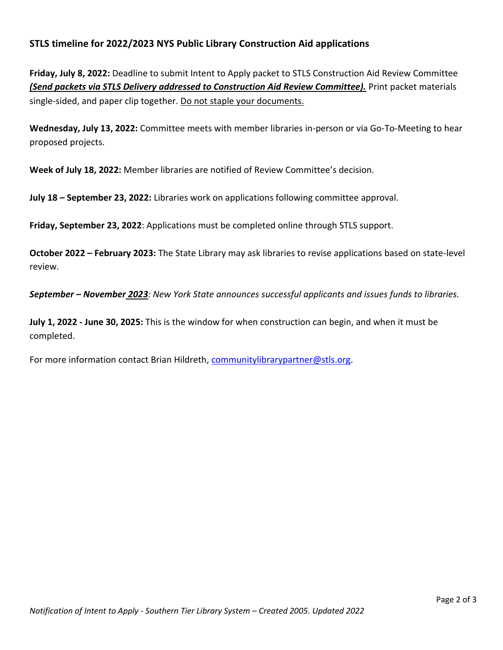## **STLS timeline for 2022/2023 NYS Public Library Construction Aid applications**

**Friday, July 8, 2022:** Deadline to submit Intent to Apply packet to STLS Construction Aid Review Committee *(Send packets via STLS Delivery addressed to Construction Aid Review Committee).* Print packet materials single-sided, and paper clip together. Do not staple your documents.

**Wednesday, July 13, 2022:** Committee meets with member libraries in-person or via Go-To-Meeting to hear proposed projects.

**Week of July 18, 2022:** Member libraries are notified of Review Committee's decision.

**July 18 – September 23, 2022:** Libraries work on applications following committee approval.

**Friday, September 23, 2022**: Applications must be completed online through STLS support.

**October 2022 – February 2023:** The State Library may ask libraries to revise applications based on state-level review.

*September – November 2023: New York State announces successful applicants and issues funds to libraries.*

**July 1, 2022 - June 30, 2025:** This is the window for when construction can begin, and when it must be completed.

For more information contact Brian Hildreth, [communitylibrarypartner@stls.org.](mailto:communitylibrarypartner@stls.org)